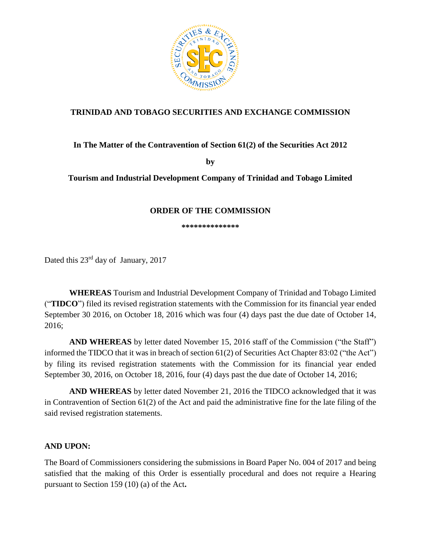

# **TRINIDAD AND TOBAGO SECURITIES AND EXCHANGE COMMISSION**

## **In The Matter of the Contravention of Section 61(2) of the Securities Act 2012**

**by**

**Tourism and Industrial Development Company of Trinidad and Tobago Limited**

### **ORDER OF THE COMMISSION**

**\*\*\*\*\*\*\*\*\*\*\*\*\*\***

Dated this 23<sup>rd</sup> day of January, 2017

**WHEREAS** Tourism and Industrial Development Company of Trinidad and Tobago Limited ("**TIDCO**") filed its revised registration statements with the Commission for its financial year ended September 30 2016, on October 18, 2016 which was four (4) days past the due date of October 14, 2016;

**AND WHEREAS** by letter dated November 15, 2016 staff of the Commission ("the Staff") informed the TIDCO that it was in breach of section 61(2) of Securities Act Chapter 83:02 ("the Act") by filing its revised registration statements with the Commission for its financial year ended September 30, 2016, on October 18, 2016, four (4) days past the due date of October 14, 2016;

**AND WHEREAS** by letter dated November 21, 2016 the TIDCO acknowledged that it was in Contravention of Section 61(2) of the Act and paid the administrative fine for the late filing of the said revised registration statements.

#### **AND UPON:**

The Board of Commissioners considering the submissions in Board Paper No. 004 of 2017 and being satisfied that the making of this Order is essentially procedural and does not require a Hearing pursuant to Section 159 (10) (a) of the Act**.**